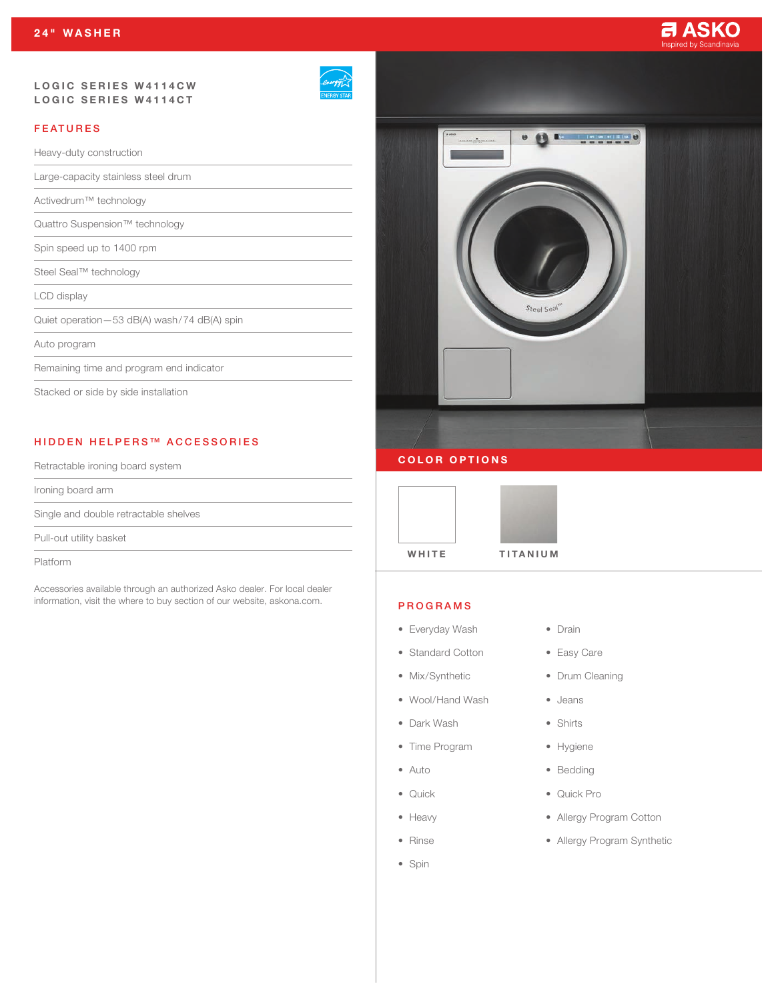#### LOGIC SERIES W4114CW LOGIC SERIES W4114CT

| <b>VERGY STAR</b> |
|-------------------|

# FEATURES

Heavy-duty construction

Large-capacity stainless steel drum

Activedrum™ technology

Quattro Suspension™ technology

Spin speed up to 1400 rpm

Steel Seal™ technology

LCD display

Quiet operation—53 dB(A) wash/74 dB(A) spin

#### Auto program

Remaining time and program end indicator

Stacked or side by side installation

# HIDDEN HELPERS™ ACCESSORIES

Retractable ironing board system

Ironing board arm

Single and double retractable shelves

Pull-out utility basket

Platform

Accessories available through an authorized Asko dealer. For local dealer information, visit the where to buy section of our website, askona.com.



### COLOR OPTIONS



#### PROGRAMS

- Everyday Wash
- Standard Cotton
- Mix/Synthetic
- Wool/Hand Wash
- Dark Wash
- Time Program
- Auto
- Quick
- Heavy
- Rinse
- Spin
- Drain
- Easy Care
- Drum Cleaning
- Jeans
- Shirts
- Hygiene
- Bedding
- Quick Pro
- Allergy Program Cotton
- Allergy Program Synthetic